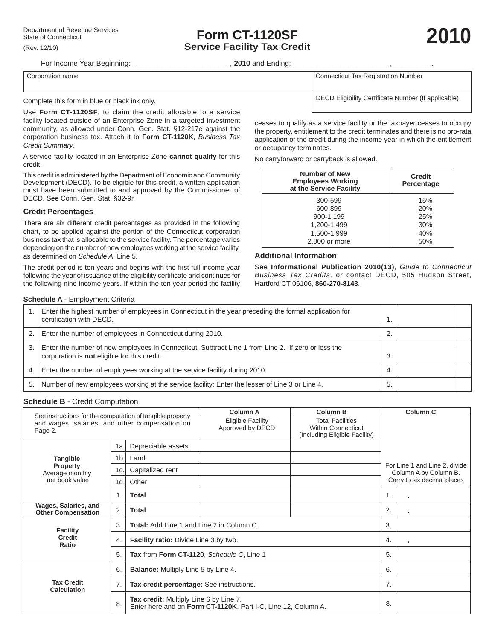# **Form CT-1120SF Service Facility Tax Credit**

For Income Year Beginning: \_\_\_\_\_\_\_\_\_\_\_\_\_\_\_\_\_\_\_\_\_\_\_ , **2010** and Ending: \_\_\_\_\_\_\_\_\_\_\_\_\_\_\_\_\_\_\_\_\_\_\_\_ , \_\_\_\_\_\_\_\_\_ .

Corporation name **Connecticut** Tax Registration Number

Complete this form in blue or black ink only.

Use **Form CT-1120SF**, to claim the credit allocable to a service facility located outside of an Enterprise Zone in a targeted investment community, as allowed under Conn. Gen. Stat. §12-217e against the corporation business tax. Attach it to **Form CT-1120K**, *Business Tax Credit Summary*.

A service facility located in an Enterprise Zone **cannot qualify** for this credit.

This credit is administered by the Department of Economic and Community Development (DECD). To be eligible for this credit, a written application must have been submitted to and approved by the Commissioner of DECD. See Conn. Gen. Stat. §32-9r.

#### **Credit Percentages**

There are six different credit percentages as provided in the following chart, to be applied against the portion of the Connecticut corporation business tax that is allocable to the service facility. The percentage varies depending on the number of new employees working at the service facility, as determined on *Schedule A*, Line 5.

The credit period is ten years and begins with the first full income year following the year of issuance of the eligibility certificate and continues for the following nine income years. If within the ten year period the facility

DECD Eligibility Certificate Number (If applicable)

ceases to qualify as a service facility or the taxpayer ceases to occupy the property, entitlement to the credit terminates and there is no pro-rata application of the credit during the income year in which the entitlement or occupancy terminates.

No carryforward or carryback is allowed.

| <b>Number of New</b><br><b>Employees Working</b><br>at the Service Facility | <b>Credit</b><br>Percentage |  |  |  |
|-----------------------------------------------------------------------------|-----------------------------|--|--|--|
| 300-599                                                                     | 15%                         |  |  |  |
| 600-899                                                                     | 20%                         |  |  |  |
| 900-1.199                                                                   | 25%                         |  |  |  |
| 1,200-1,499                                                                 | 30%                         |  |  |  |
| 1.500-1.999                                                                 | 40%                         |  |  |  |
| 2,000 or more                                                               | 50%                         |  |  |  |

#### **Additional Information**

See **Informational Publication 2010(13)**, *Guide to Connecticut Business Tax Credits,* or contact DECD, 505 Hudson Street, Hartford CT 06106, **860-270-8143**.

#### **Schedule A** - Employment Criteria

|    | Enter the highest number of employees in Connecticut in the year preceding the formal application for<br>certification with DECD.                  |     |  |
|----|----------------------------------------------------------------------------------------------------------------------------------------------------|-----|--|
|    | Enter the number of employees in Connecticut during 2010.                                                                                          |     |  |
| 3  | Enter the number of new employees in Connecticut. Subtract Line 1 from Line 2. If zero or less the<br>corporation is not eligible for this credit. | 3.  |  |
| 4. | Enter the number of employees working at the service facility during 2010.                                                                         | -4. |  |
| 5. | Number of new employees working at the service facility: Enter the lesser of Line 3 or Line 4.                                                     | 5.  |  |

#### **Schedule B** - Credit Computation

|                                                                                                                        |     | <b>Column A</b>                                  | <b>Column B</b>                                                                                         | <b>Column C</b> |                                                        |              |
|------------------------------------------------------------------------------------------------------------------------|-----|--------------------------------------------------|---------------------------------------------------------------------------------------------------------|-----------------|--------------------------------------------------------|--------------|
| See instructions for the computation of tangible property<br>and wages, salaries, and other compensation on<br>Page 2. |     | Eligible Facility<br>Approved by DECD            | <b>Total Facilities</b><br><b>Within Connecticut</b><br>(Including Eligible Facility)                   |                 |                                                        |              |
|                                                                                                                        | 1a. | Depreciable assets                               |                                                                                                         |                 |                                                        |              |
| <b>Tangible</b>                                                                                                        | 1b. | Land                                             |                                                                                                         |                 |                                                        |              |
| <b>Property</b><br>Average monthly                                                                                     | 1c. | Capitalized rent                                 |                                                                                                         |                 | For Line 1 and Line 2, divide<br>Column A by Column B. |              |
| net book value                                                                                                         | 1d. | Other                                            |                                                                                                         |                 | Carry to six decimal places                            |              |
|                                                                                                                        | 1.  | Total                                            |                                                                                                         |                 | 1.                                                     | $\sim$       |
| Wages, Salaries, and<br><b>Other Compensation</b>                                                                      | 2.  | Total                                            |                                                                                                         |                 | 2.                                                     | ٠            |
| <b>Facility</b>                                                                                                        | 3.  | <b>Total:</b> Add Line 1 and Line 2 in Column C. |                                                                                                         |                 | 3.                                                     |              |
| <b>Credit</b><br>Ratio                                                                                                 | 4.  | <b>Facility ratio:</b> Divide Line 3 by two.     |                                                                                                         |                 | 4.                                                     | $\mathbf{r}$ |
|                                                                                                                        | 5.  | Tax from Form CT-1120, Schedule C, Line 1        |                                                                                                         | 5.              |                                                        |              |
|                                                                                                                        | 6.  | <b>Balance:</b> Multiply Line 5 by Line 4.       |                                                                                                         | 6.              |                                                        |              |
| <b>Tax Credit</b><br><b>Calculation</b>                                                                                | 7.  | Tax credit percentage: See instructions.         |                                                                                                         |                 | 7 <sub>1</sub>                                         |              |
|                                                                                                                        | 8.  |                                                  | Tax credit: Multiply Line 6 by Line 7.<br>Enter here and on Form CT-1120K, Part I-C, Line 12, Column A. |                 | 8.                                                     |              |